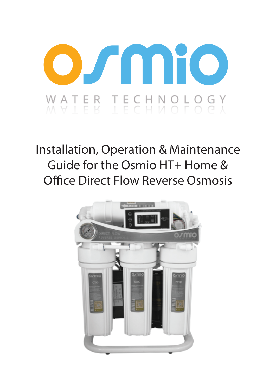

# Installation, Operation & Maintenance Guide for the Osmio HT+ Home & Office Direct Flow Reverse Osmosis

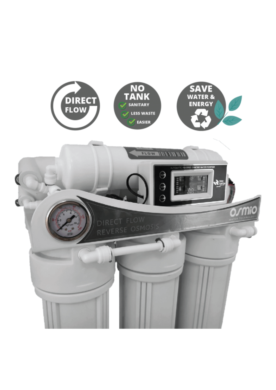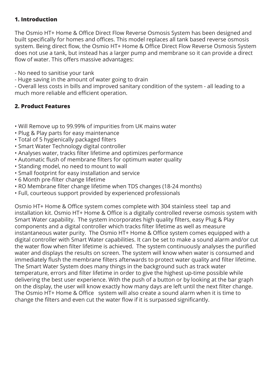#### **1. Introduction**

The Osmio HT+ Home & Office Direct Flow Reverse Osmosis System has been designed and built specifically for homes and offices. This model replaces all tank based reverse osmosis system. Being direct flow, the Osmio HT+ Home & Office Direct Flow Reverse Osmosis System does not use a tank, but instead has a larger pump and membrane so it can provide a direct flow of water. This offers massive advantages:

- No need to sanitise your tank

- Huge saving in the amount of water going to drain

- Overall less costs in bills and improved sanitary condition of the system - all leading to a much more reliable and efficient operation.

#### **2. Product Features**

- Will Remove up to 99.99% of impurities from UK mains water
- Plug & Play parts for easy maintenance
- Total of 5 hygienically packaged filters
- Smart Water Technology digital controller
- Analyses water, tracks filter lifetime and optimizes performance
- Automatic flush of membrane filters for optimum water quality
- Standing model, no need to mount to wall
- Small footprint for easy installation and service
- 6 Month pre-filter change lifetime
- RO Membrane filter change lifetime when TDS changes (18-24 months)
- Full, courteous support provided by experienced professionals

Osmio HT+ Home & Office system comes complete with 304 stainless steel tap and installation kit. Osmio HT+ Home & Office is a digitally controlled reverse osmosis system with Smart Water capability. The system incorporates high quality filters, easy Plug & Play components and a digital controller which tracks filter lifetime as well as measure instantaneous water purity. The Osmio HT+ Home & Office system comes equipped with a digital controller with Smart Water capabilities. It can be set to make a sound alarm and/or cut the water flow when filter lifetime is achieved. The system continuously analyses the purified water and displays the results on screen. The system will know when water is consumed and immediately flush the membrane filters afterwards to protect water quality and filter lifetime. The Smart Water System does many things in the background such as track water temperature, errors and filter lifetime in order to give the highest up-time possible while delivering the best user experience. With the push of a button or by looking at the bar graph on the display, the user will know exactly how many days are left until the next filter change. The Osmio HT+ Home & Office system will also create a sound alarm when it is time to change the filters and even cut the water flow if it is surpassed significantly.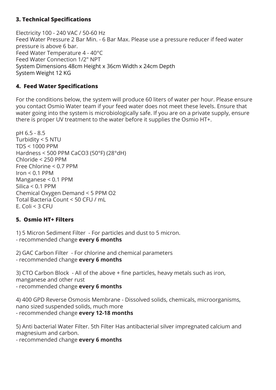#### **3. Technical Specifications**

Electricity 100 - 240 VAC / 50-60 Hz Feed Water Pressure 2 Bar Min. - 6 Bar Max. Please use a pressure reducer if feed water pressure is above 6 bar. Feed Water Temperature 4 - 40°C Feed Water Connection 1/2" NPT System Dimensions 48cm Height x 36cm Width x 24cm Depth System Weight 12 KG

#### **4. Feed Water Specifications**

For the conditions below, the system will produce 60 liters of water per hour. Please ensure you contact Osmio Water team if your feed water does not meet these levels. Ensure that water going into the system is microbiologically safe. If you are on a private supply, ensure there is proper UV treatment to the water before it supplies the Osmio HT+.

pH 6.5 - 8.5 Turbidity < 5 NTU TDS < 1000 PPM Hardness < 500 PPM CaCO3 (50°F) (28°dH) Chloride < 250 PPM Free Chlorine < 0.7 PPM  $Iron < 0.1$  PPM Manganese < 0.1 PPM  $Silica < 0.1$  PPM Chemical Oxygen Demand < 5 PPM O2 Total Bacteria Count < 50 CFU / mL E. Coli < 3 CFU

#### **5. Osmio HT+ Filters**

1) 5 Micron Sediment Filter - For particles and dust to 5 micron. - recommended change **every 6 months**

2) GAC Carbon Filter - For chlorine and chemical parameters - recommended change **every 6 months**

3) CTO Carbon Block - All of the above + fine particles, heavy metals such as iron, manganese and other rust - recommended change **every 6 months**

4) 400 GPD Reverse Osmosis Membrane - Dissolved solids, chemicals, microorganisms, nano sized suspended solids, much more - recommended change **every 12-18 months**

5) Anti bacterial Water Filter. 5th Filter Has antibacterial silver impregnated calcium and magnesium and carbon.

- recommended change **every 6 months**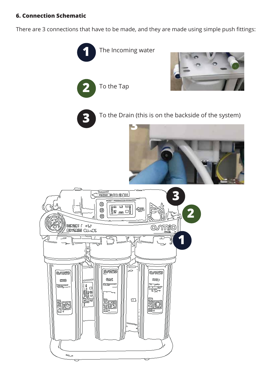#### **6. Connection Schematic**

There are 3 connections that have to be made, and they are made using simple push fittings:

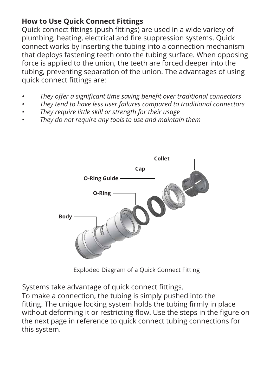# **How to Use Quick Connect Fittings**

Quick connect fittings (push fittings) are used in a wide variety of plumbing, heating, electrical and fire suppression systems. Quick connect works by inserting the tubing into a connection mechanism that deploys fastening teeth onto the tubing surface. When opposing force is applied to the union, the teeth are forced deeper into the tubing, preventing separation of the union. The advantages of using quick connect fittings are:

- *• They offer a significant time saving benefit over traditional connectors*
- *• They tend to have less user failures compared to traditional connectors*
- *• They require little skill or strength for their usage*
- *• They do not require any tools to use and maintain them*



Exploded Diagram of a Quick Connect Fitting

Systems take advantage of quick connect fittings.

To make a connection, the tubing is simply pushed into the fitting. The unique locking system holds the tubing firmly in place without deforming it or restricting flow. Use the steps in the figure on the next page in reference to quick connect tubing connections for this system.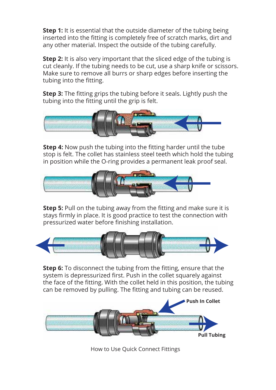**Step 1:** It is essential that the outside diameter of the tubing being inserted into the fitting is completely free of scratch marks, dirt and any other material. Inspect the outside of the tubing carefully.

**Step 2:** It is also very important that the sliced edge of the tubing is cut cleanly. If the tubing needs to be cut, use a sharp knife or scissors. Make sure to remove all burrs or sharp edges before inserting the tubing into the fitting.

**Step 3:** The fitting grips the tubing before it seals. Lightly push the tubing into the fitting until the grip is felt.



**Step 4:** Now push the tubing into the fitting harder until the tube stop is felt. The collet has stainless steel teeth which hold the tubing in position while the O-ring provides a permanent leak proof seal.



**Step 5:** Pull on the tubing away from the fitting and make sure it is stays firmly in place. It is good practice to test the connection with pressurized water before finishing installation.



**Step 6:** To disconnect the tubing from the fitting, ensure that the system is depressurized first. Push in the collet squarely against the face of the fitting. With the collet held in this position, the tubing can be removed by pulling. The fitting and tubing can be reused.



How to Use Quick Connect Fittings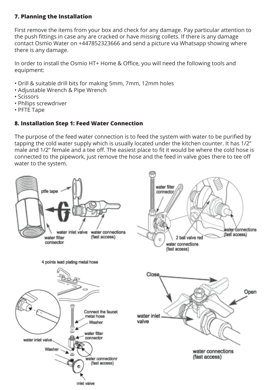#### **7. Planning the Installation**

First remove the items from your box and check for any damage. Pay particular attention to the push fittings in case any are cracked or have missing collets. If there is any damage contact Osmio Water on +447852323666 and send a picture via Whatsapp showing where there is any damage.

In order to install the Osmio HT+ Home & Office, you will need the following tools and equipment:

- Drill & suitable drill bits for making 5mm, 7mm, 12mm holes
- Adjustable Wrench & Pipe Wrench
- Scissors
- Phllips screwdriver
- PFTE Tape

#### **8. Installation Step 1: Feed Water Connection**

The purpose of the feed water connection is to feed the system with water to be purified by tapping the cold water supply which is usually located under the kitchen counter. It has 1/2" male and 1/2" female and a tee off. The easiest place to fit it would be where the cold hose is connected to the pipework, just remove the hose and the feed in valve goes there to tee off water to the system.

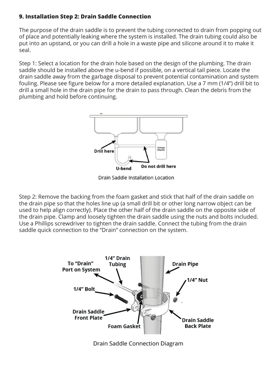#### **9. Installation Step 2: Drain Saddle Connection**

The purpose of the drain saddle is to prevent the tubing connected to drain from popping out of place and potentially leaking where the system is installed. The drain tubing could also be put into an upstand, or you can drill a hole in a waste pipe and silicone around it to make it seal.

Step 1: Select a location for the drain hole based on the design of the plumbing. The drain saddle should be installed above the u-bend if possible, on a vertical tail piece. Locate the drain saddle away from the garbage disposal to prevent potential contamination and system fouling. Please see figure below for a more detailed explanation. Use a 7 mm (1/4") drill bit to drill a small hole in the drain pipe for the drain to pass through. Clean the debris from the plumbing and hold before continuing.



Drain Saddle Installation Location

Step 2: Remove the backing from the foam gasket and stick that half of the drain saddle on the drain pipe so that the holes line up (a small drill bit or other long narrow object can be used to help align correctly). Place the other half of the drain saddle on the opposite side of the drain pipe. Clamp and loosely tighten the drain saddle using the nuts and bolts included. Use a Phillips screwdriver to tighten the drain saddle. Connect the tubing from the drain saddle quick connection to the "Drain" connection on the system.



Drain Saddle Connection Diagram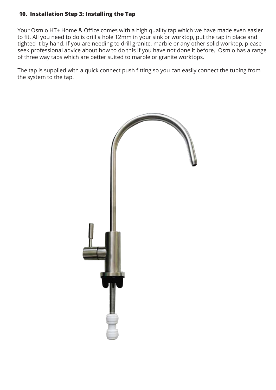#### **10. Installation Step 3: Installing the Tap**

Your Osmio HT+ Home & Office comes with a high quality tap which we have made even easier to fit. All you need to do is drill a hole 12mm in your sink or worktop, put the tap in place and tighted it by hand. If you are needing to drill granite, marble or any other solid worktop, please seek professional advice about how to do this if you have not done it before. Osmio has a range of three way taps which are better suited to marble or granite worktops.

The tap is supplied with a quick connect push fitting so you can easily connect the tubing from the system to the tap.

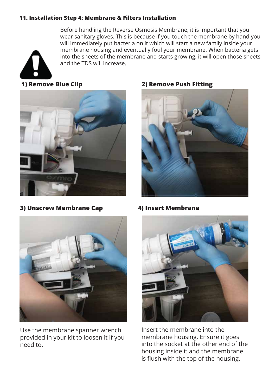#### **11. Installation Step 4: Membrane & Filters Installation**

Before handling the Reverse Osmosis Membrane, it is important that you wear sanitary gloves. This is because if you touch the membrane by hand you will immediately put bacteria on it which will start a new family inside your membrane housing and eventually foul your membrane. When bacteria gets into the sheets of the membrane and starts growing, it will open those sheets and the TDS will increase.



**3) Unscrew Membrane Cap 4) Insert Membrane** 



Use the membrane spanner wrench provided in your kit to loosen it if you need to.

#### **1) Remove Blue Clip 2) Remove Push Fitting**





Insert the membrane into the membrane housing. Ensure it goes into the socket at the other end of the housing inside it and the membrane is flush with the top of the housing.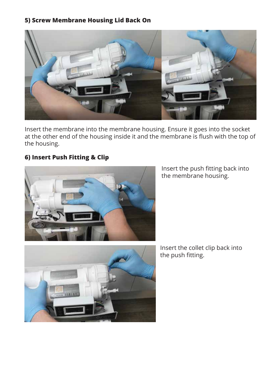#### **5) Screw Membrane Housing Lid Back On**



Insert the membrane into the membrane housing. Ensure it goes into the socket at the other end of the housing inside it and the membrane is flush with the top of the housing.

#### **6) Insert Push Fitting & Clip**



Insert the push fitting back into the membrane housing.



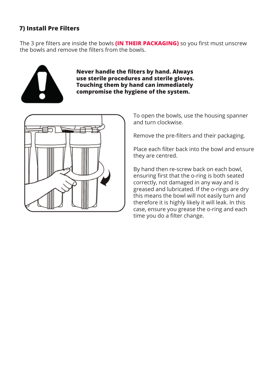#### **7) Install Pre Filters**

The 3 pre filters are inside the bowls **(IN THEIR PACKAGING)** so you first must unscrew the bowls and remove the filters from the bowls.



**Never handle the filters by hand. Always use sterile procedures and sterile gloves. Touching them by hand can immediately compromise the hygiene of the system.**



To open the bowls, use the housing spanner and turn clockwise.

Remove the pre-filters and their packaging.

Place each filter back into the bowl and ensure they are centred.

By hand then re-screw back on each bowl, ensuring first that the o-ring is both seated correctly, not damaged in any way and is greased and lubricated. If the o-rings are dry this means the bowl will not easily turn and therefore it is highly likely it will leak. In this case, ensure you grease the o-ring and each time you do a filter change.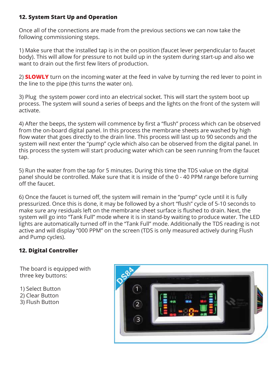#### **12. System Start Up and Operation**

Once all of the connections are made from the previous sections we can now take the following commissioning steps.

1) Make sure that the installed tap is in the on position (faucet lever perpendicular to faucet body). This will allow for pressure to not build up in the system during start-up and also we want to drain out the first few liters of production.

2) **SLOWLY** turn on the incoming water at the feed in valve by turning the red lever to point in the line to the pipe (this turns the water on).

3) Plug the system power cord into an electrical socket. This will start the system boot up process. The system will sound a series of beeps and the lights on the front of the system will activate.

4) After the beeps, the system will commence by first a "flush" process which can be observed from the on-board digital panel. In this process the membrane sheets are washed by high flow water that goes directly to the drain line. This process will last up to 90 seconds and the system will next enter the "pump" cycle which also can be observed from the digital panel. In this process the system will start producing water which can be seen running from the faucet tap.

5) Run the water from the tap for 5 minutes. During this time the TDS value on the digital panel should be controlled. Make sure that it is inside of the 0 - 40 PPM range before turning off the faucet.

6) Once the faucet is turned off, the system will remain in the "pump" cycle until it is fully pressurized. Once this is done, it may be followed by a short "flush" cycle of 5-10 seconds to make sure any residuals left on the membrane sheet surface is flushed to drain. Next, the system will go into "Tank Full" mode where it is in stand-by waiting to produce water. The LED lights are automatically turned off in the "Tank Full" mode. Additionally the TDS reading is not active and will display "000 PPM" on the screen (TDS is only measured actively during Flush and Pump cycles).

#### **12. Digital Controller**

The board is equipped with three key buttons:

- 1) Select Button 2) Clear Button
- 3) Flush Button

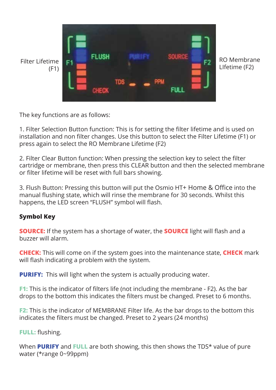

The key functions are as follows:

1. Filter Selection Button function: This is for setting the filter lifetime and is used on installation and non filter changes. Use this button to select the Filter Lifetime (F1) or press again to select the RO Membrane Lifetime (F2)

2. Filter Clear Button function: When pressing the selection key to select the filter cartridge or membrane, then press this CLEAR button and then the selected membrane or filter lifetime will be reset with full bars showing.

3. Flush Button: Pressing this button will put the Osmio HT+ Home & Office into the manual flushing state, which will rinse the membrane for 30 seconds. Whilst this happens, the LED screen "FLUSH" symbol will flash.

#### **Symbol Key**

**SOURCE:** If the system has a shortage of water, the **SOURCE** light will flash and a buzzer will alarm.

**CHECK:** This will come on if the system goes into the maintenance state, **CHECK** mark will flash indicating a problem with the system.

**PURIFY:** This will light when the system is actually producing water.

**F1:** This is the indicator of filters life (not including the membrane - F2). As the bar drops to the bottom this indicates the filters must be changed. Preset to 6 months.

**F2:** This is the indicator of MEMBRANE Filter life. As the bar drops to the bottom this indicates the filters must be changed. Preset to 2 years (24 months)

**FULL:** flushing.

When **PURIFY** and **FULL** are both showing, this then shows the TDS\* value of pure water (\*range 0~99ppm)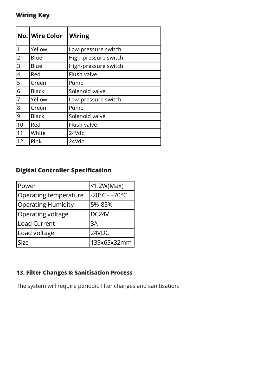## **Wiring Key**

|    | <b>No. Wire Color</b> | Wiring               |
|----|-----------------------|----------------------|
| 1  | Yellow                | Low-pressure switch  |
| 2  | Blue                  | High-pressure switch |
| 3  | Blue                  | High-pressure switch |
| 4  | Red                   | Flush valve          |
| 5  | Green                 | Pump                 |
| 6  | <b>Black</b>          | Solenoid valve       |
| 7  | Yellow                | Low-pressure switch  |
| 8  | Green                 | Pump                 |
| 9  | <b>Black</b>          | Solenoid valve       |
| 10 | Red                   | Flush valve          |
| 11 | White                 | 24Vdc                |
| 12 | Pink                  | 24Vdc                |

# **Digital Controller Specification**

| Power                     | $<$ 1.2W(Max)                      |
|---------------------------|------------------------------------|
| Operating temperature     | $-20^{\circ}$ C - +70 $^{\circ}$ C |
| <b>Operating Humidity</b> | 5%-85%                             |
| Operating voltage         | DC <sub>24</sub> V                 |
| Load Current              | 3A                                 |
| Load voltage              | 24VDC                              |
| <b>Size</b>               | 135x65x32mm                        |

## **13. Filter Changes & Sanitisation Process**

The system will require periodic filter changes and sanitisation.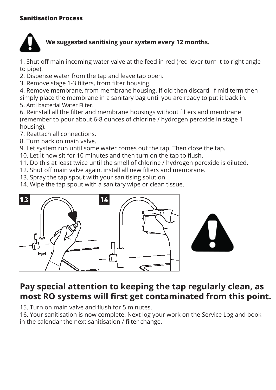#### **Sanitisation Process**



## **We suggested sanitising your system every 12 months.**

1. Shut off main incoming water valve at the feed in red (red lever turn it to right angle to pipe).

2. Dispense water from the tap and leave tap open.

3. Remove stage 1-3 filters, from filter housing.

4. Remove membrane, from membrane housing. If old then discard, if mid term then simply place the membrane in a sanitary bag until you are ready to put it back in. 5. Anti bacterial Water Filter.

6. Reinstall all the filter and membrane housings without filters and membrane (remember to pour about 6-8 ounces of chlorine / hydrogen peroxide in stage 1 housing).

7. Reattach all connections.

8. Turn back on main valve.

9. Let system run until some water comes out the tap. Then close the tap.

10. Let it now sit for 10 minutes and then turn on the tap to flush.

11. Do this at least twice until the smell of chlorine / hydrogen peroxide is diluted.

12. Shut off main valve again, install all new filters and membrane.

13. Spray the tap spout with your sanitising solution.

14. Wipe the tap spout with a sanitary wipe or clean tissue.



# **Pay special attention to keeping the tap regularly clean, as most RO systems will first get contaminated from this point.**

15. Turn on main valve and flush for 5 minutes.

16. Your sanitisation is now complete. Next log your work on the Service Log and book in the calendar the next sanitisation / filter change.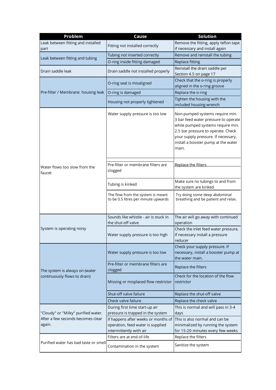| Problem                                     | Cause                                                                                               | <b>Solution</b>                                                                                                                                                                                                                           |
|---------------------------------------------|-----------------------------------------------------------------------------------------------------|-------------------------------------------------------------------------------------------------------------------------------------------------------------------------------------------------------------------------------------------|
| Leak between fitting and installed<br>part  | Fitting not installed correctly                                                                     | Remove the fitting, apply teflon tape<br>if necessary and install again                                                                                                                                                                   |
| Leak between fitting and tubing             | Tubing not inserted correctly                                                                       | Remove and reinstall the tubing                                                                                                                                                                                                           |
|                                             | O-ring inside fitting damaged                                                                       | Replace fitting                                                                                                                                                                                                                           |
| Drain saddle leak                           | Drain saddle not installed properly                                                                 | Reinstall the drain saddle per<br>Section 4.5 on page 17                                                                                                                                                                                  |
|                                             | O-ring seal is misaligned                                                                           | Check that the o-ring is properly<br>aligned in the o-ring groove                                                                                                                                                                         |
| Pre-filter / Membrane housing leak          | O-ring is damaged                                                                                   | Replace the o-ring                                                                                                                                                                                                                        |
|                                             | Housing not properly tightened                                                                      | Tighten the housing with the<br>included housing wrench                                                                                                                                                                                   |
|                                             | Water supply pressure is too low                                                                    | Non-pumped systems require min.<br>3 bar feed water pressure to operate<br>while pumped systems require min.<br>2.5 bar pressure to operate. Check<br>your supply pressure. If necessary,<br>install a booster pump at the water<br>main. |
| Water flows too slow from the<br>faucet     | Pre-filter or membrane filters are<br>clogged                                                       | Replace the filters                                                                                                                                                                                                                       |
|                                             | Tubing is kinked                                                                                    | Make sure no tubings to and from<br>the system are kinked                                                                                                                                                                                 |
|                                             | The flow from the system is meant<br>to be 0.5 litres per minute upwards                            | Try doing some deep abdominal<br>breathing and be patient and relax.                                                                                                                                                                      |
|                                             | Sounds like whistle - air is stuck in<br>the shut-off valve                                         | The air will go away with continued<br>operation                                                                                                                                                                                          |
| System is operating noisy                   | Water supply pressure is too high                                                                   | Check the inlet feed water pressure,<br>If necessary install a pressure<br>reducer                                                                                                                                                        |
|                                             | Water supply pressure is too low                                                                    | Check your supply pressure. If<br>necessary, install a booster pump at<br>the water main.                                                                                                                                                 |
| The system is always on (water              | Pre-filter or membrane filters are<br>clogged                                                       | Replace the filters                                                                                                                                                                                                                       |
| continuously flows to drain)                | Missing or misplaced flow restrictor                                                                | Check for the location of the flow<br>restrictor                                                                                                                                                                                          |
|                                             | Shut-off valve failure                                                                              | Replace the shut-off valve                                                                                                                                                                                                                |
|                                             | Check valve failure                                                                                 | Replace the check valve                                                                                                                                                                                                                   |
| "Cloudy" or "Milky" purified water.         | During first time start-up air<br>pressure is trapped in the system                                 | This is normal and will pass in 3-4<br>days                                                                                                                                                                                               |
| After a few seconds becomes clear<br>again. | If happens after weeks or months of<br>operation, feed water is supplied<br>intermittently with air | This is also normal and can be<br>minimalized by running the system<br>for 15-20 minutes every few weeks                                                                                                                                  |
|                                             | Filters are at end-of-life                                                                          | Replace the filters                                                                                                                                                                                                                       |
| Purified water has bad taste or smell       | Contamination in the system                                                                         | Sanitize the system                                                                                                                                                                                                                       |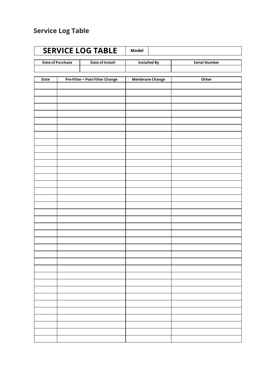# **Service Log Table**

| <b>SERVICE LOG TABLE</b><br><b>Model</b> |                                                   |                                 |                        |  |                      |
|------------------------------------------|---------------------------------------------------|---------------------------------|------------------------|--|----------------------|
|                                          | <b>Date of Purchase</b><br><b>Date of Install</b> |                                 | <b>Installed By</b>    |  | <b>Serial Number</b> |
|                                          |                                                   |                                 |                        |  |                      |
| Date                                     |                                                   | Pre-Filter + Post-Filter Change | <b>Membrane Change</b> |  | Other                |
|                                          |                                                   |                                 |                        |  |                      |
|                                          |                                                   |                                 |                        |  |                      |
|                                          |                                                   |                                 |                        |  |                      |
|                                          |                                                   |                                 |                        |  |                      |
|                                          |                                                   |                                 |                        |  |                      |
|                                          |                                                   |                                 |                        |  |                      |
|                                          |                                                   |                                 |                        |  |                      |
|                                          |                                                   |                                 |                        |  |                      |
|                                          |                                                   |                                 |                        |  |                      |
|                                          |                                                   |                                 |                        |  |                      |
|                                          |                                                   |                                 |                        |  |                      |
|                                          |                                                   |                                 |                        |  |                      |
|                                          |                                                   |                                 |                        |  |                      |
|                                          |                                                   |                                 |                        |  |                      |
|                                          |                                                   |                                 |                        |  |                      |
|                                          |                                                   |                                 |                        |  |                      |
|                                          |                                                   |                                 |                        |  |                      |
|                                          |                                                   |                                 |                        |  |                      |
|                                          |                                                   |                                 |                        |  |                      |
|                                          |                                                   |                                 |                        |  |                      |
|                                          |                                                   |                                 |                        |  |                      |
|                                          |                                                   |                                 |                        |  |                      |
|                                          |                                                   |                                 |                        |  |                      |
|                                          |                                                   |                                 |                        |  |                      |
|                                          |                                                   |                                 |                        |  |                      |
|                                          |                                                   |                                 |                        |  |                      |
|                                          |                                                   |                                 |                        |  |                      |
|                                          |                                                   |                                 |                        |  |                      |
|                                          |                                                   |                                 |                        |  |                      |
|                                          |                                                   |                                 |                        |  |                      |
|                                          |                                                   |                                 |                        |  |                      |
|                                          |                                                   |                                 |                        |  |                      |
|                                          |                                                   |                                 |                        |  |                      |
|                                          |                                                   |                                 |                        |  |                      |
|                                          |                                                   |                                 |                        |  |                      |
|                                          |                                                   |                                 |                        |  |                      |